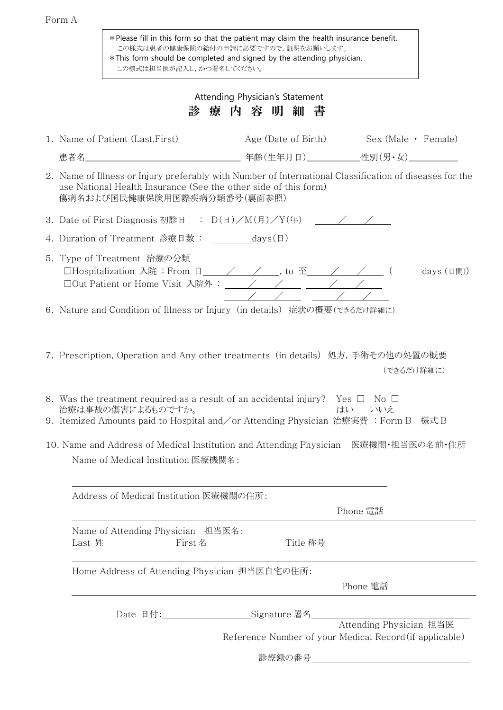|--|--|

| * Please fill in this form so that the patient may claim the health insurance benefit.<br>この様式は患者の健康保険の給付の申請に必要ですので,証明をお願いします。<br>* This form should be completed and signed by the attending physician.<br>この様式は担当医が記入し,かつ署名してください。    |
|-----------------------------------------------------------------------------------------------------------------------------------------------------------------------------------------------------------------------------------------|
| Attending Physician's Statement                                                                                                                                                                                                         |
| 療内容明<br>診<br>細 書                                                                                                                                                                                                                        |
| Age (Date of Birth) Sex (Male • Female)<br>1. Name of Patient (Last, First)                                                                                                                                                             |
|                                                                                                                                                                                                                                         |
| 2. Name of Illness or Injury preferably with Number of International Classification of diseases for the<br>use National Health Insurance (See the other side of this form)<br>傷病名および国民健康保険用国際疾病分類番号(裏面参照)                               |
| 3. Date of First Diagnosis 初診日 : $D(\Box)/M(\Box)/Y(\Xi)$ /  /                                                                                                                                                                          |
| 4. Duration of Treatment 診療日数: _________days(日)                                                                                                                                                                                         |
| 5. Type of Treatment 治療の分類<br>□Hospitalization 入院: From 自_____/_____/____, to 至_____/_____/_____(<br>days (日間))                                                                                                                         |
| 6.Nature and Condition of Illness or Injury(in details) 症状の概要(できるだけ詳細に)                                                                                                                                                                 |
| (できるだけ詳細に)<br>8. Was the treatment required as a result of an accidental injury? $\;$ Yes $\;\Box\;$ No $\;\Box$<br>治療は事故の傷害によるものですか。<br>はい<br>いいえ<br>9. Itemized Amounts paid to Hospital and/or Attending Physician 治療実費 :Form B 様式 B |
| 10. Name and Address of Medical Institution and Attending Physician 医療機関・担当医の名前・住所<br>Name of Medical Institution 医療機関名:                                                                                                                |
| Address of Medical Institution 医療機関の住所:<br>Phone 電話                                                                                                                                                                                     |
| Name of Attending Physician 担当医名:<br>Title 称号<br>Last 姓<br>First 名                                                                                                                                                                      |
| Home Address of Attending Physician 担当医自宅の住所:<br>Phone 電話                                                                                                                                                                               |
| Date 日付: _________________________Signature 署名__________________________________                                                                                                                                                        |
| Attending Physician 担当医<br>Reference Number of your Medical Record (if applicable)                                                                                                                                                      |
| 診療録の番号 <u>___________________________</u>                                                                                                                                                                                               |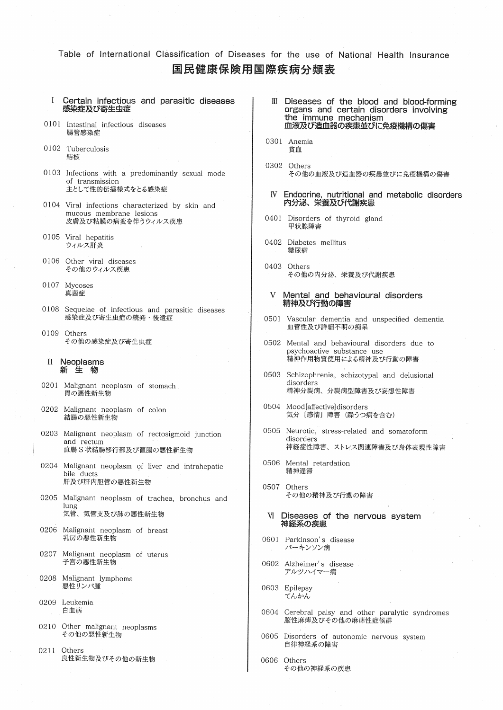Table of International Classification of Diseases for the use of National Health Insurance 国民健康保険用国際疾病分類表

- $\mathbf{I}$ Certain infectious and parasitic diseases 感染症及び寄生虫症
- 0101 Intestinal infectious diseases 腸管感染症
- 0102 Tuberculosis 結核
- 0103 Infections with a predominantly sexual mode of transmission 主として性的伝播様式をとる感染症
- 0104 Viral infections characterized by skin and mucous membrane lesions 皮膚及び粘膜の病変を伴うウィルス疾患
- 0105 Viral hepatitis ウィルス肝炎
- 0106 Other viral diseases その他のウィルス疾患
- 0107 Mycoses 真菌症
- 0108 Sequelae of infectious and parasitic diseases 感染症及び寄生虫症の続発・後遺症
- 0109 Others その他の感染症及び寄生虫症

## II Neoplasms 新生物

- 0201 Malignant neoplasm of stomach 胃の悪性新生物
- 0202 Malignant neoplasm of colon 結腸の悪性新生物
- 0203 Malignant neoplasm of rectosigmoid junction and rectum 直腸S状結腸移行部及び直腸の悪性新生物
- 0204 Malignant neoplasm of liver and intrahepatic bile ducts 肝及び肝内胆管の悪性新生物
- 0205 Malignant neoplasm of trachea, bronchus and lung 気管、気管支及び肺の悪性新生物
- 0206 Malignant neoplasm of breast 乳房の悪性新生物
- 0207 Malignant neoplasm of uterus 子宮の悪性新生物
- 0208 Malignant lymphoma 悪性リンパ腫
- 0209 Leukemia 白血病
- 0210 Other malignant neoplasms その他の悪性新生物
- 0211 Others 良性新生物及びその他の新生物
- III Diseases of the blood and blood-forming organs and certain disorders involving the immune mechanism 血液及び造血器の疾患並びに免疫機構の傷害
- 0301 Anemia 貧血
- 0302 Others その他の血液及び造血器の疾患並びに免疫機構の傷害
- IV Endocrine, nutritional and metabolic disorders<br>内分泌、栄養及び代謝疾患
- 0401 Disorders of thyroid gland 甲状腺障害
- 0402 Diabetes mellitus 糖尿病
- 0403 Others その他の内分泌、栄養及び代謝疾患
- Mental and behavioural disorders V 精神及び行動の障害
- 0501 Vascular dementia and unspecified dementia 血管性及び詳細不明の痴呆
- 0502 Mental and behavioural disorders due to psychoactive substance use 精神作用物質使用による精神及び行動の障害
- 0503 Schizophrenia, schizotypal and delusional disorders 精神分裂病、分裂病型障害及び妄想性障害
- 0504 Mood[affective]disorders 気分 [感情] 障害 (躁うつ病を含む)
- 0505 Neurotic, stress-related and somatoform disorders 神経症性障害、ストレス関連障害及び身体表現性障害
- 0506 Mental retardation 精神遅滞
- 0507 Others その他の精神及び行動の障害
- VI Diseases of the nervous system 神経系の疾患
- 0601 Parkinson's disease パーキンソン病
- 0602 Alzheimer's disease アルツハイマー病
- 0603 Epilepsy てんかん
- 0604 Cerebral palsy and other paralytic syndromes 脳性麻痺及びその他の麻痺性症候群
- 0605 Disorders of autonomic nervous system 自律神経系の障害
- 0606 Others その他の神経系の疾患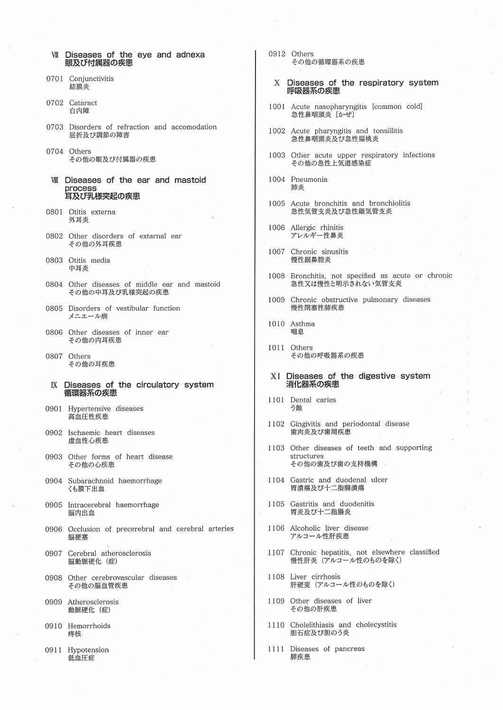- VII Diseases of the eve and adnexa 眼及び付属器の疾患
- 0701 Conjunctivitis 結膜炎
- 0702 Cataract 白内障
- 0703 Disorders of refraction and accomodation 屈折及び調節の障害
- 0704 Others その他の眼及び付属器の疾患
- WII Diseases of the ear and mastoid process 耳及び乳様突起の疾患
- 0801 Otitis externa 外耳炎
- 0802 Other disorders of extarnal ear その他の外耳疾患
- 0803 Otitis media 中耳炎
- 0804 Other diseases of middle ear and mastoid その他の中耳及び乳様突起の疾患
- 0805 Disorders of vestibular function メニエール病
- 0806 Other diseases of inner ear その他の内耳疾患
- 0807 Others その他の耳疾患
- Diseases of the circulatory system IX 循環器系の疾患
- 0901 Hypertensive diseases 高血圧性疾患
- 0902 Ischaemic heart diseases 虚血性心疾患
- 0903 Other forms of heart disease その他の心疾患
- 0904 Subarachnoid haemorrhage くも膜下出血
- 0905 Intracerebral haemorrhage 脳内出血
- 0906 Occlusion of precerebral and cerebral arteries 脳梗塞
- 0907 Cerebral atherosclerosis 脳動脈硬化 (症)
- 0908 Other cerebrovascular diseases その他の脳血管疾患
- 0909 Atherosclerosis 動脈硬化 (症)
- 0910 Hemorrhoids 痔核
- 0911 Hypotension 低血圧症
- 0912 Others その他の循環器系の疾患
	- X Diseases of the respiratory system 呼吸器系の疾患
- 1001 Acute nasopharyngitis [common cold] 急性鼻咽頭炎 [かぜ]
- 1002 Acute pharyngitis and tonsillitis 急性鼻咽頭炎及び急性扁桃炎
- 1003 Other acute upper respiratory infections その他の急性上気道感染症
- 1004 Pneumonia 肺炎
- 1005 Acute bronchitis and bronchiolitis 急性気管支炎及び急性細気管支炎
- 1006 Allergic rhinitis アレルギー性鼻炎
- 1007 Chronic sinusitis 慢性副鼻腔炎
- 1008 Bronchitis, not specified as acute or chronic 急性又は慢性と明示されない気管支炎
- 1009 Chronic obstructive pulmonary diseases 慢性閉塞性肺疾患
- 1010 Asthma 喘息
- 1011 Others その他の呼吸器系の疾患
- XI Diseases of the digestive system 消化器系の疾患
- 1101 Dental caries う蝕
- 1102 Gingivitis and periodontal disease 歯肉炎及び歯周疾患
- 1103 Other diseases of teeth and supporting structures その他の歯及び歯の支持機構
- 1104 Gastric and duodenal ulcer 胃潰瘍及び十二指腸潰瘍
- 1105 Gastritis and duodenitis 胃炎及び十二指腸炎
- 1106 Alcoholic liver disease アルコール性肝疾患
- 1107 Chronic hepatitis, not elsewhere classified 慢性肝炎 (アルコール性のものを除く)
- 1108 Liver cirrhosis 肝硬変 (アルコール性のものを除く)
- 1109 Other diseases of liver その他の肝疾患
- 1110 Cholelithiasis and cholecystitis 胆石症及び胆のう炎
- 1111 Diseases of pancreas 膵疾患